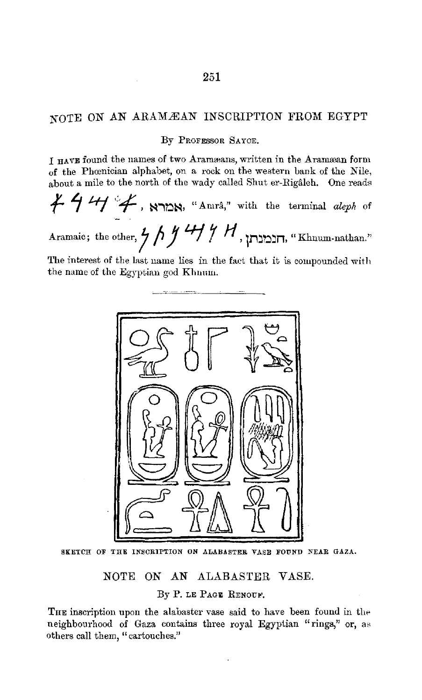## NOTE ON AN ARAMÆAN INSCRIPTION FROM EGYPT

#### By PROFESSOR SAYCE.

I HAVE found the names of two Aramæans, written in the Aramæan form of the Phcenician alphabet, on a rock on the western bank of the Nile,

about a mile to the north of the wady called Shut er-Rigâleh. One reads 
$$
\cancel{+}
$$
  $\cancel{+}$   $\cancel{+}$ ,  $\cancel{+}$ ,  $\frac{1}{\cancel{+}}$ ,  $\frac{1}{\cancel{+}}$ ,  $\frac{1}{\cancel{+}}$ ,  $\frac{1}{\cancel{+}}$ ,  $\frac{1}{\cancel{+}}$ ,  $\frac{1}{\cancel{+}}$ , with the terminal *aleph* of

Aramaic; the other, 1 **f, J** *41 7 H,* **i.n::.o::.n,** "Khnum-nathan."

The interest of the last name lies in the fact that it is compounded with the name of the Egyptian god Khnum.



SKETCH OF THE INSCRIPTION ON ALABASTER VASE FOUND NEAR GAZA.

NOTE ON AN ALABASTER VASE.

By P. LE PAGE RENOUF.

THE inscription upon the alabaster vase said to have been found in the neighbourhood of Gaza contains three royal Egyptian "rings," or, as others call them, "cartouches."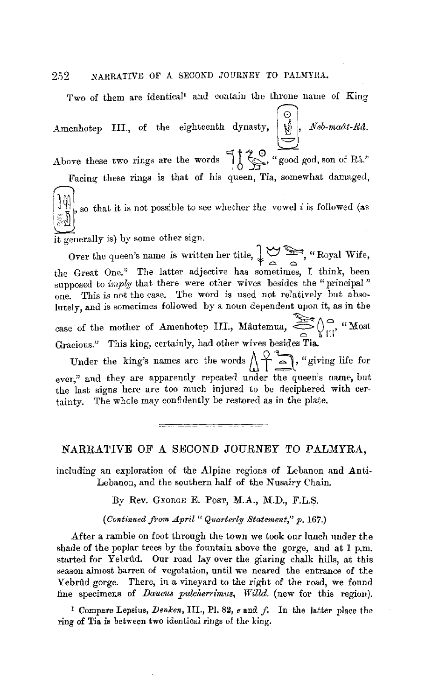Two of them are identical<sup>1</sup> and contain the throne name of King

Amenhotep III., of the eighteenth dynasty,  $\left(\bigcup_{i=1}^{\infty} \right)$ , *Neb-maât-Râ.* Above these two rings are the words  $\begin{bmatrix} 1 & 2 & 0 \\ 1 & \end{bmatrix}$ , "good god, son of Râ."

Facing these rings is that of his queen, Tia, somewhat damaged,

 $\left\{\begin{matrix} \mathbf{0} \\ \mathbf{0} \end{matrix}\right\}$ , so that it is not possible to see whether the vowel *i* is followed (as

it generally is) by some other sign.

Over the queen's name is written her title,  $\downarrow \searrow \searrow$ , "Royal Wife, the Great One." The latter adjective has sometimes, I think, been supposed to *imply* that there were other wives besides the "principal" one. This is not the case. The word is used not relatively but absolutely, and is sometimes followed by a noun dependent upon it, as in the case of the mother of Amenhotep III., Mautemua,  $\sum_{n=0}^{\infty} \int_{\mathbb{H}^1}^{\infty}$ , "Most Gracious." This king, certainly, had other wives besides Tia.

Under the king's names are the words  $\bigwedge_{m=1}^{\infty} \bigwedge_{m=1}^{\infty}$ , "giving life for ever," and they are apparently repeated under the queen's name, but the last signs here are too much injured to be deciphered with certainty. The whole may confidently be restored as in the plate.

#### NARRATIVE OF A SECOND JOURNEY TO PALMYRA,

including an exploration of the Alpine regions of Lebanon and Anti-Lebanon, and the southern half of the Nusairy Chain.

By Rev. GEORGE E. POST, M.A., M.D., F.L.S.

( *Continued from April* " *Quarterly Statement," p.* 167.)

After a ramble on foot through the town we took our lunch nnder the shade of the poplar trees by the fountain above the gorge, and at  $1$  p.m. started for Yebrtld. Our road lay over the glaring chalk hills, at this season almost barren of vegetation, until we neared the entrance of the Yebrûd gorge. There, in a vineyard to the right of the road, we found fine specimens of *Daucus pulcherrimus, Willd.* (new for this region).

1 Compare Lepaius, *Denken,* III., PI. 82, *e* and *f,* In the latter place the ring of Tia is between two identical rings of the king.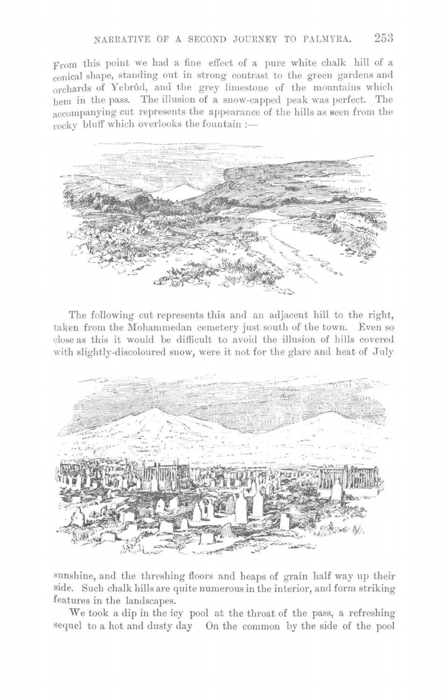From this point we had a fine effect of a pure white chalk hill of a conical shape, standing out in strong contrast to the green gardens and orchards of Yebrûd, and the grey limestone of the mountains which hem in the pass. The illusion of a snow-capped peak was perfect. The accompanying cut represents the appearance of the hills as seen from the  $r$ ocky bluff which overlooks the fountain :-



The following cut represents this and an adjacent hill to the right, taken from the Mohammedan cemetery just south of the town. Even so close as this it would be difficult to avoid the illusion of hills covered with slightly-discoloured snow, were it not for the glare and heat of July



sunshine, and the threshing floors and heaps of grain half way up their side. Such chalk hills are quite numerous in the interior, and form striking features in the landscapes.

We took a dip in the icy pool at the throat of the pass, a refreshing sequel to a hot and dusty day On the common by the side of the pool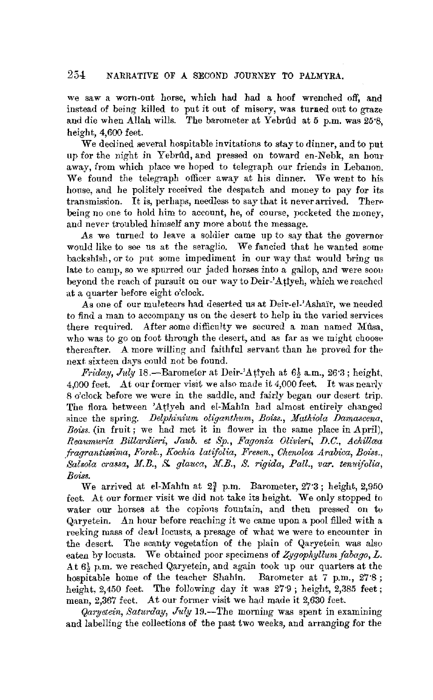we saw a worn-out horse, which had had a hoof wrenched off, and instead of being killed to put it out of misery, was turned out to graze and die when Allah wills. The barometer at Yebrûd at 5 p.m. was 25'8. height, 4,600 feet.

We declined several hospitable invitations to stay to dinner, and to put up for the night in Yebrtld, and pressed on toward en-Nebk, an hour away, from which place we hoped to telegraph our friends in Lebanon. We found the telegraph officer away at his dinner. We went to his house, and he politely received the despatch and money to pay for its transmission. It is, perhaps, needless to say that it never arrived. There being no one to hold him to account, he, of course, pocketed the money, and never troubled himself any more about the message.

As we turned to leave a soldier came up *to* say that the governor would like to see us at the seraglio. We fancied that he wanted some backshish, or to put some impediment in our way that would bring us late to camp, so we spurred our jaded horses into a gallop, and were soou beyond the reach of pursuit on our waytoDeir-'Atiyeh, which wereached at a quarter before eight o'clock.

As one of our muleteers had deserted us at Deir-el-'Ashai'r, we needed to find a man to accompany us on the desert to help in the varied services there required. After some difficulty we secured a man named Musa, who was to go on foot through the desert, and as far as we might choose thereafter. A more willing and faithful servant than he proved for the> next sixteen days could not be found.

*Friday, July* 18.-Barometer at Deir-'Attyeh at 6½ a.m., 26·3; height, 4,000 feet. At our former visit we also made it 4,000 feet. It was nearly 8 o'clock before we were in the saddle, and fairly began our desert trip. The flora between 'Atiyeh and el-Mahin had almost entirely changed since the spring. *Delphinium oliganthum, Boiss., Mathiola Damascena*, *Bo'iss.* (in fruit; we had met it in flower in the same place in April), *Reaumuria Billardieri, Jaub. et Sp., Fagonia Olivieri, D.C., Achillaea .fragrantissbna, Forsk., Kochia latifolia, Fresen., Chenolea Arabica, Boiss., Salsola crassa, M.B.,* S. *glauca, M.B., S. rigida, Pall., var. tenuifolia, Bo'iss.* 

We arrived at el-Mahin at  $2<sup>3</sup>$  p.m. Barometer,  $27.3$ ; height,  $2,950$ feet. At our former visit we did not take its height. We only stopped to water our horses at the copious fountain, and then pressed on to Qaryetein. An hour before reaching it we came upon a pool filled with a reeking mass of dead locusts, a presage of what we were to encounter in the desert. The scanty vegetation of the plain of Qaryetein was also eaten by locusts. We obtained poor specimens of *Zygophyllum fabago*, L. At 6} p.m. we reached Qaryetein, and again took up our quarters at the hospitable home of the teacher Shahin. Barometer at 7 p.m., 27·8; height, 2,450 feet. The following day it was  $27.9$ ; height, 2,385 feet; mean, 2.367 feet. At our former visit we had made it 2.630 feet.

*Qaryetein, Saturday, July* 19.-The morning was spent in examining and labelling the collections of the past two weeks, and arranging for the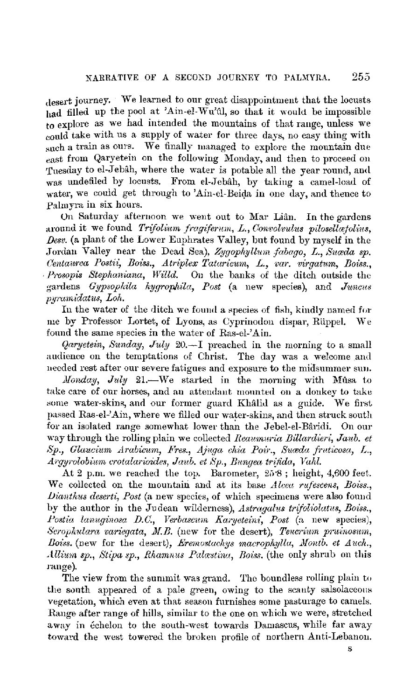desert journey. We learned to our great disappointment that the locusts had filled up the pool at 'Ain-el-Wu'dl, so that it would be impossible to explore as we had intended the mountains of that range, unless we could take with us a supply of water for three days, no easy thing with snch a train as ours. We finally managed to explore the mountain due east from Qaryetein on the following Monday, and then to proceed on Tuesday to el-Jebah, where the water is potable all the year round, and was undefiled by locusts. From el-Jebâh, by taking a camel-load of water, we could get through to 'Ain-el-Beida in one day, and thence to Palmyra in six hours.

On Saturday afternoon we went out to Mar Lian. In the gardens around it we found *Trifolium fragiferum, L., Convolvulus pilosellatolius*, *£Jew.* (a plant of the Lower Enphrates Valley, but found by myself in the Jordan Valley near the Dead Sea), *Zygophyllmn fabago, L., Suceda sp. Centaurea Postii~ Boiss., Atriplex Tataricum,* L., *var. virgatum, Boiss.,*  Prosopis Stephaniana, Willd. On the banks of the ditch outside the gardens *Gypsophila hygropliila, Post* (a new species), and *Juncus pyrurnidatus, Loh.* 

In the water of the ditch we found a species of fish, kindly named for me by Professor Lortet, of Lyons, as Cyprinodon dispar, Rüppel. We found the same species in the water of Ras-el-'Ain.

*Qaryetein, Sunday, July 20.*-I preached in the morning to a small audience on the temptations of Christ. The day was a welcome and needed rest after our severe fatigues and exposure to the midsummer sun.

*Monday, July* 21.—We started in the morning with Mûsa to take care of our horses, and an attendant mounted on a donkey to take some water-skins, and our former guard Khâlid as a guide. We first passed Ras-el-'Ain, where we filled our water-skins, and then struck south for an isolated range somewhat lower than the Jebel-el-Bâridi. On our way through the rolling plain we collected *Reaumuria Billardieri*, Jaub. et  $Sp., Glaucium Arabicum, Fres., Ajuga chia Poir., Suæda fruticosa, L.,$  $Argyrolobium\,crotalarioides, Jaub.$  et Sp., Bungea trifida, Vahl.

At 2 p.m. we reached the top. Barometer,  $25\cdot8$ ; height, 4,600 feet. We collected on the mountain and at its base *Alcea rufescens*, *Boiss.*, *Dianthus deserti, Post (a new species, of which specimens were also found* by the author in the Judean wilderness), *Astragalus trifoliolatus*, *Boiss.*, Postia lanuginosa D.C., Verbascum Karyeteini, Post (a new species), *Scrophulara variegata, M.B.* (new for the desert), *Tencrium pruinosum*, *Boiss.* (new for the desert), *Eremostachys macrophylla, Montb. et Auch.*, *Allium sp., Stipa sp., Rhamnus Palastina, Boiss.* (the only shrub on this range).

The view from the summit was grand. The boundless rolling plain to the south appeared of a pale green, owing to the scanty salsolaceous vegetation, which even at that season furnishes some pasturage to came18. Range after range of hills, similar to the one on which we were, stretched away in echelon to the south-west towards Damascus, while far away toward the west towered the broken profile of northern Anti-Lebanon.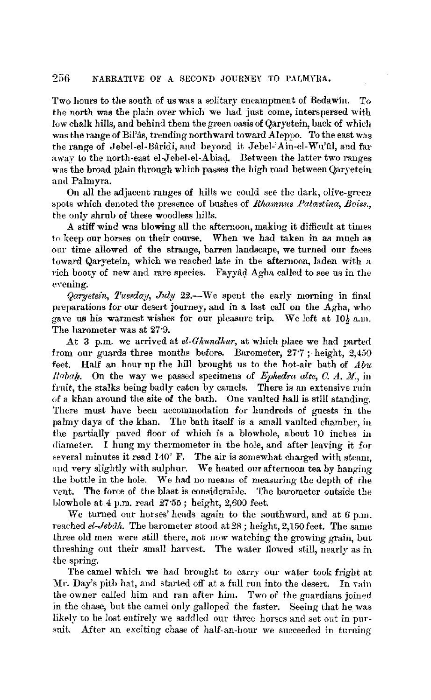Two hours to the south of us was a solitary encampment of Bedawin. To the north was the plain over which we had just come, interspersed with low chalk hills, and behind them the green oasis of Qaryetein, back of which was the range of Bil'as, trending northward toward Aleppo. To the east was the range of Jebel-el-Bâridi, and beyond it Jebel-'Ain-el-Wu'ûl, and far away to the north-east el-Jebel-el-Abiad. Between the latter two ranges was the broad plain through which passes the high road between Qaryetein and Palmyra.

On all the adjacent ranges of hills we could see the dark, olive-green spots which denoted the presence of bushes of *Rhamnus Palastina*, Boiss., the only shrub of these woodless hills.

A stiff wind was blowing all the afternoon, making it difficult at times to keep our horses on their course. When we had taken in as much as our time allowed of the strange, barren landscape, we turned our faces toward Qaryetein, which we reached late in the afternoon, laden with a rich booty of new and rare species. Fayyad Agha called to see us in the evening.

*Qaryetein, Tuesday, July 22.*-We spent the early morning in final preparations for our desert journey, and in a last call on the Agha, who gave us his warmest wishes for our pleasure trip. We left at  $10\frac{1}{2}$  a.m. The barometer was at 27·9.

At 3 p.m. we arrived at *el-Ghundhur*, at which place we had parted from our guards three months before. Barometer, 27·7 ; height, 2,450 feet. Half an hour up the hill brought us to the hot-air bath of *Abi. Rabah.* On the way we passed specimens of *Epkedra alte, C. A. M.*, in fruit, the stalks being badly eaten by camels. There is an extensive ruin of a khan around the site of the bath. One vaulted hall is still standing. There must have been accommodation for hundreds of guests in the palmy days of the khan. The bath itself is a small vaulted chamber, in the partially paved floor of which is a blowhole, about 10 inches iu diameter. I hung my thermometer in the hole, and after leaving it for several minutes it read 140° F. The air is somewhat charged with steam, and very slightly with sulphur. We heated our afternoon tea by hanging the bottle in the hole. We had no meaus of measuring the depth of the vent. The force of the blast is considerable. The barometer outside the blowhole at 4 p.m. read 27·55; height, 2,600 feet.

\.Ve turned our horses' heads again to the southward, and at *6* p.m. reached *el-Jebdh.* The barometer stood at *28;* height, 2,150 feet. The same three old men were still there, not now watching the growing grain, but threshing out their small harvest. The water flowed still, nearly as in the spring.

The camel which we had brought to carry our water took fright at Mr. Day's pith hat, and started off at a full run into the desert. In vain the owner called him and ran after him. Two of the guardians joiued in the chase, but the camel only galloped the faster. Seeing that he was likely to be lost entirely we saddled our three horses and set out in pursuit. After an exciting chase of half-an-hour we succeeded in turning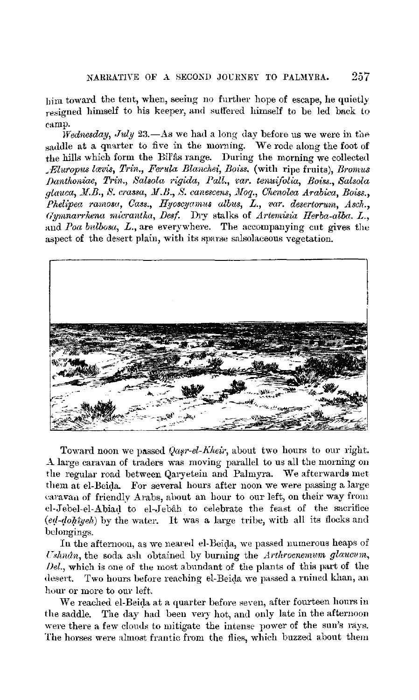bim toward the tent, when, seeing no further hope of escape, he quietly resigned himself to his keeper, aud suffered himself to be led back to eamp.

*Wednesday, July* 23.-As we had a long day before us we were in the saddle at a quarter to five in the morning. We rode along the foot of the hills which form the Bil'âs range. During the morning we collected *.Eluropus lcevis, Trin., Ferula Blanchei, Boiss.* (with ripe fruits), *Bmmus J)antlwniae, Trin., Salsola rigula, Pall., 1:ar. tenuifolia, Boiss., Salsola glauca, Jf.B., S. crassa,* **Jf.B.,** *S. canescens, Jlfoq., CT.enolea Arabica, Boiss., Phelipea ramosa, Cass., Hyoscyainus albits, L., var. desertorum, Asch., Gymnarrhena micrantha, Desf.* Dry stalks of *Artemisia Herba-alba.* L., and *Poa bulbosa, L.*, are everywhere. The accompanying cut gives the aspect of the desert plain, with its sparse salsolaceous vegetation.



Toward noon we passed *Qasr-el-Kheir*, about two hours to our right. A large caravan of traders was moving parallel to us all the morning on the regular road between Qaryetein and Palmyra. We afterwards met them at el-Beida. For several hours after noon we were passing a large caravan of friendly Arabs, about an hour to our left, on their way from el-Jebel-el-Abiad to el-Jebah to celebrate the feast of the sacrifice  $(ed-dohyeh)$  by the water. It was a large tribe, with all its flocks and belongings.

In the afternoon, as we neared el-Beida, we passed numerous heaps of *Cshnân*, the soda ash obtained by burning the *Arthrocnemum glaucum*, *Del.,* which is one of the most abundant of the plants of this part of the desert. Two hours before reaching el-Beida we passed a ruined khan, an hour or more to our left.

We reached el-Beida at a quarter before seven, after fourteen hours in the saddle. The day had been very hot, and only late in the afternoon were there a few clouds to mitigate the intense power of the sun's rays. The horses were almost frantic from the flies, which buzzed about them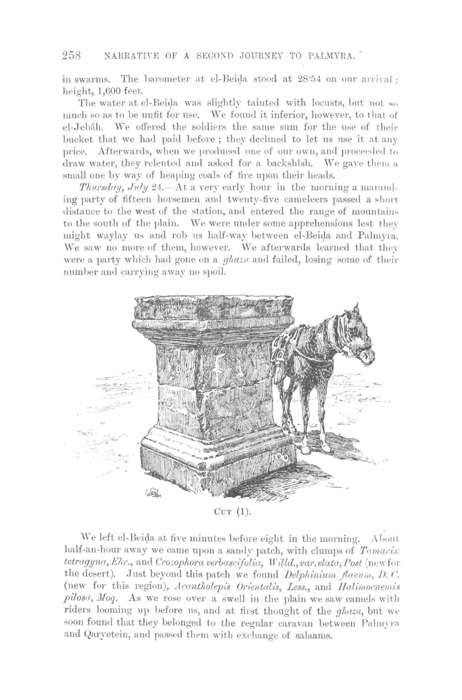in swarms. The barometer at el-Beida stood at 28:54 on our arrival : height, 1,600 feet.

The water at el-Beida was slightly tainted with locusts, but not so much so as to be unfit for use. We found it inferior, however, to that of el-Jebâh. We offered the soldiers the same sum for the use of their bucket that we had paid before; they declined to let us use it at any price. Afterwards, when we produced one of our own, and proceeded to draw water, they relented and asked for a backshish. We gave them a small one by way of heaping coals of fire upon their heads.

*Thursday, July 24.*—At a very early hour in the morning a marauding party of fifteen horsemen and twenty-five cameleers passed a short distance to the west of the station, and entered the range of mountains. to the south of the plain. We were under some apprehensions lest they might waylay us and rob us half-way between el-Beida and Palmyra. We saw no more of them, however. We afterwards learned that they were a party which had gone on a *ghazu* and failed, losing some of their number and carrying away no spoil.



CUT (1).

We left el-Beida at five minutes before eight in the morning. About half-an-hour away we came upon a sandy patch, with clumps of *Tamarix*  $tetragyna, Ehr.,$  and *Crozophora verbascifolia*, *Willd., var. elata, Post* (newfor the desert). Just beyond this patch we found *Delphinium flavum*, D. C. (new for this region), *Acantholepis Orientalis*, Less., and *Halimocnemis* pilosa, Moq. As we rose over a swell in the plain we saw camels with riders looming up before us, and at first thought of the *ghazu*, but we soon found that they belonged to the regular caravan between Palmyra and Qaryetein, and passed them with exchange of salaams.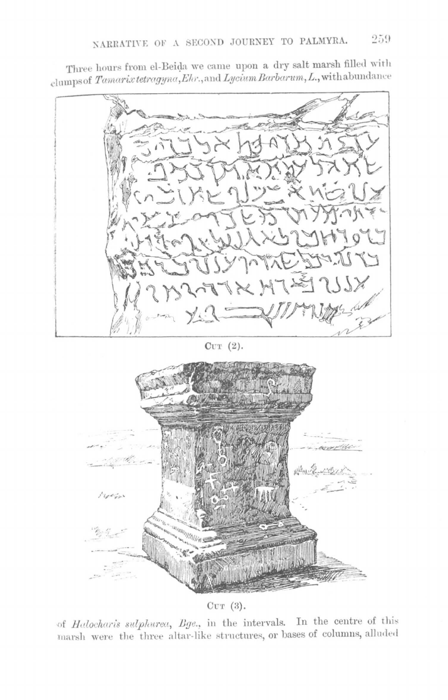Three hours from el-Beida we came upon a dry salt marsh filled with clumps of Tamarix tetragyna, Ehr., and Lycium Barbarum, L., with abundance



 $CUT(2).$ 



 $CUT(3)$ .

of Halocharis sulphurea, Bge., in the intervals. In the centre of this marsh were the three altar-like structures, or bases of columns, alluded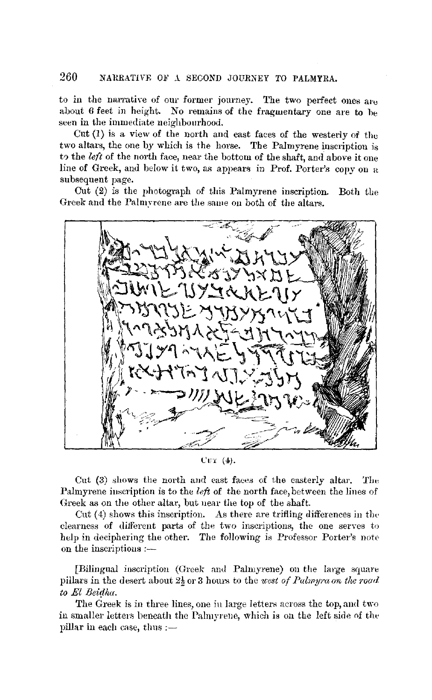to in the narrative of our former journey. The two perfect ones  $a_{1}$ <sup>e</sup> about 6 feet in height. No remains of the fragmentary one are to he seen in the immediate neighbourhood.

 $Cut(1)$  is a view of the north and east faces of the westerly of the two altars, the one by which is the horse. The Palmyrene inscription is to the *left* of the north face, near the bottom of the shaft, and above it one line of Greek, and below it two, as appears in Prof. Porter's copy on a subsequent page.

Cut (2) is the photograph of this Palmyrene inscription. Both the Greek and the Palmyrene are the same on both of the altars.



L'UT (4).

Cut (3) shows the north and east faces of the easterly altar. The Palmyrene iuscription is to the *left* of the north face, between the lines of Greek as on the other altar, but near the top of the shaft.

Cut  $(4)$  shows this inscription. As there are trifling differences in the clearness of different parts of the two inscriptions, the one serves to help in deciphering the other. The following is Professor Porter's note on the inscriptions  $:$   $-$ 

[Bilingual inscription (Greek and Palmyrene) on the large square pillars in the desert about 2½ or 3 hours to the *west of Palmyra on the roarl to* El *Beidha.* 

The Greek is in three lines, one in large letters across the top, and two in smaller letters beneath the Palmyrene, which is on the left side of the pillar in each case, thus  $:=$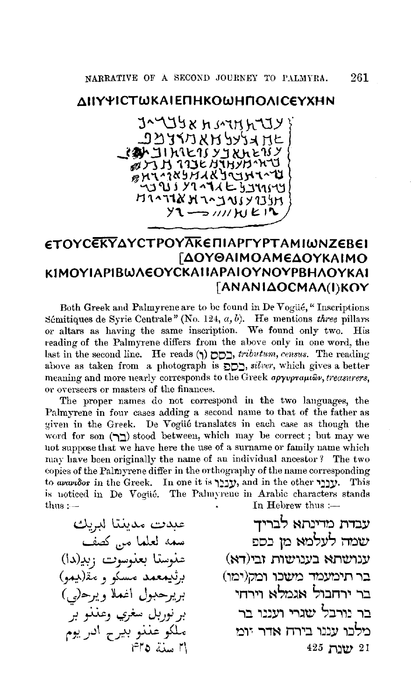### ΛΙΙΥΨΙΣΤΜΚΑΙΕΠΗΚΟΜΗΠΟΛΙΣΕΥΧΗΝ

trynnman xetrat את *ג*לעל אאריצנ*י*ב **CAN JIMETS YJRAETSY** ANTH TIBE ATHYBAND **BHIMASHARYIHIMU**  $4321192241625331149$ **HIATIXHAAJUIYIJH**  $y_1 \rightarrow y_1$ 

# *ETOYCEKYAYCTPOYAKE ΠΙΑΡΓΥΡΤΑΜΙΜΝΖΕΒΕΙ* **[ΔΟΥΘΑΙΜΟΑΜΕΔΟΥΚΑΙΜΟ** ΚΙΜΟΥΙΑΡΙΒωΛΕΟΥΣΚΑΙΙΑΡΑΙΟΥΝΟΥΡΒΗΛΟΥΚΑΙ [ANANIAOCMAA(I)KOY

Both Greek and Palmyrene are to be found in De Vogüé, "Inscriptions Sémitiques de Syrie Centrale" (No. 124,  $a, b$ ). He mentions three pillars or altars as having the same inscription. We found only two. His reading of the Palmyrene differs from the above only in one word, the last in the second line. He reads  $(5)$   $\Box$ , tributum, census. The reading above as taken from a photograph is  $\sum_{n=1}^{\infty}$ , silver, which gives a better meaning and more nearly corresponds to the Greek apyvprautov, treasurers, or overseers or masters of the finances.

The proper names do not correspond in the two languages, the Palmyrene in four cases adding a second name to that of the father as given in the Greek. De Vogüé translates in each case as though the word for son  $(\mathbb{T})$  stood between, which may be correct; but may we not suppose that we have here the use of a surname or family name which may have been originally the name of an individual ancestor? The two copies of the Palmyrene differ in the orthography of the name corresponding to avavidos in the Greek. In one it is yyy, and in the other yyy. This is noticed in De Vogüé. The Palmyrene in Arabic characters stands In Hebrew thus : $thus :=$ 

عبدت مدينتا لبريك سمه لعلما من كصف عنوسنا بعنوسوت زبي(دا) برثىيمعمد مسكو و مَقْ(بيمو) بريرحبول اغملا ويرح(بي) بر نورېل سغږي وعنذو بر ملكو عننو بيرح ادريوم <u>استة ٢٥</u>

עבדת מדינתא לבריד שמה לעלמא מן נספ ענושתא בענושות זבי(דא) בר תימעמד משכו ומק(ימו) בר ירחבול אגמלא וירחי בר נורבל שגרי ועננו בר מלכו עננו בירח אדר יומ 21 ישנת 425